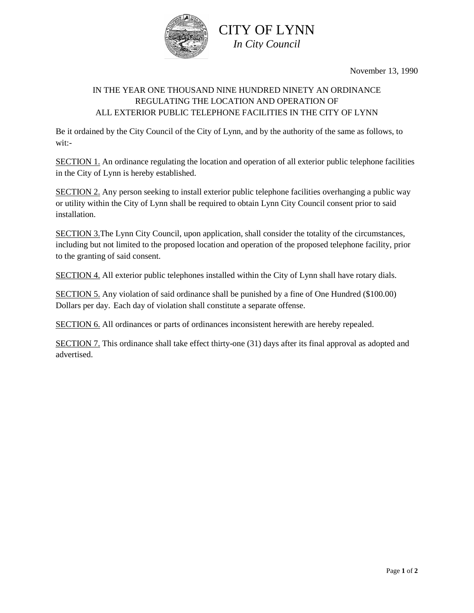

CITY OF LYNN *In City Council*

November 13, 1990

## IN THE YEAR ONE THOUSAND NINE HUNDRED NINETY AN ORDINANCE REGULATING THE LOCATION AND OPERATION OF ALL EXTERIOR PUBLIC TELEPHONE FACILITIES IN THE CITY OF LYNN

Be it ordained by the City Council of the City of Lynn, and by the authority of the same as follows, to wit:-

SECTION 1. An ordinance regulating the location and operation of all exterior public telephone facilities in the City of Lynn is hereby established.

SECTION 2. Any person seeking to install exterior public telephone facilities overhanging a public way or utility within the City of Lynn shall be required to obtain Lynn City Council consent prior to said installation.

SECTION 3.The Lynn City Council, upon application, shall consider the totality of the circumstances, including but not limited to the proposed location and operation of the proposed telephone facility, prior to the granting of said consent.

SECTION 4. All exterior public telephones installed within the City of Lynn shall have rotary dials.

SECTION 5. Any violation of said ordinance shall be punished by a fine of One Hundred (\$100.00) Dollars per day. Each day of violation shall constitute a separate offense.

SECTION 6. All ordinances or parts of ordinances inconsistent herewith are hereby repealed.

SECTION 7. This ordinance shall take effect thirty-one (31) days after its final approval as adopted and advertised.